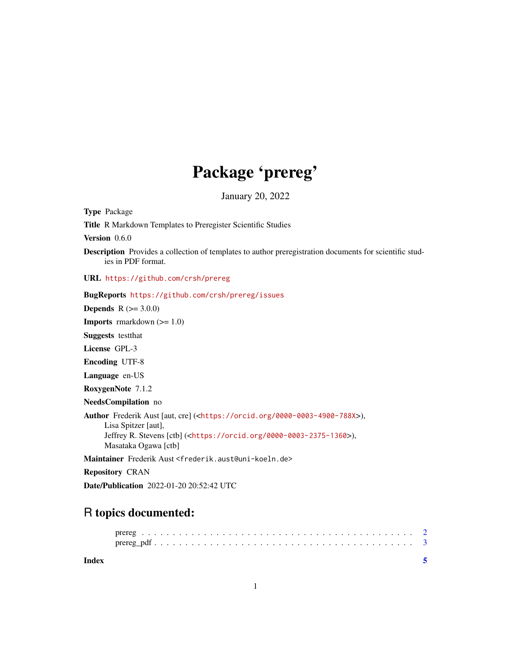## Package 'prereg'

January 20, 2022

<span id="page-0-0"></span>

| <b>Type Package</b>                                                                                                                                                                                                              |
|----------------------------------------------------------------------------------------------------------------------------------------------------------------------------------------------------------------------------------|
| <b>Title R Markdown Templates to Preregister Scientific Studies</b>                                                                                                                                                              |
| Version 0.6.0                                                                                                                                                                                                                    |
| <b>Description</b> Provides a collection of templates to author preregistration documents for scientific stud-<br>ies in PDF format.                                                                                             |
| URL https://github.com/crsh/prereg                                                                                                                                                                                               |
| BugReports https://github.com/crsh/prereg/issues                                                                                                                                                                                 |
| <b>Depends</b> $R (= 3.0.0)$                                                                                                                                                                                                     |
| <b>Imports</b> rmarkdown $(>= 1.0)$                                                                                                                                                                                              |
| <b>Suggests</b> test that                                                                                                                                                                                                        |
| License GPL-3                                                                                                                                                                                                                    |
| <b>Encoding UTF-8</b>                                                                                                                                                                                                            |
| Language en-US                                                                                                                                                                                                                   |
| RoxygenNote 7.1.2                                                                                                                                                                                                                |
| NeedsCompilation no                                                                                                                                                                                                              |
| Author Frederik Aust [aut, cre] ( <https: 0000-0003-4900-788x="" orcid.org="">),<br/>Lisa Spitzer [aut],<br/>Jeffrey R. Stevens [ctb] (<https: 0000-0003-2375-1360="" orcid.org="">),<br/>Masataka Ogawa [ctb]</https:></https:> |
| Maintainer Frederik Aust <frederik.aust@uni-koeln.de></frederik.aust@uni-koeln.de>                                                                                                                                               |
| <b>Repository CRAN</b>                                                                                                                                                                                                           |

Date/Publication 2022-01-20 20:52:42 UTC

### R topics documented:

**Index** [5](#page-4-0). The second state of the second state of the second state of the second state of the second state of the second state of the second state of the second state of the second state of the second state of the second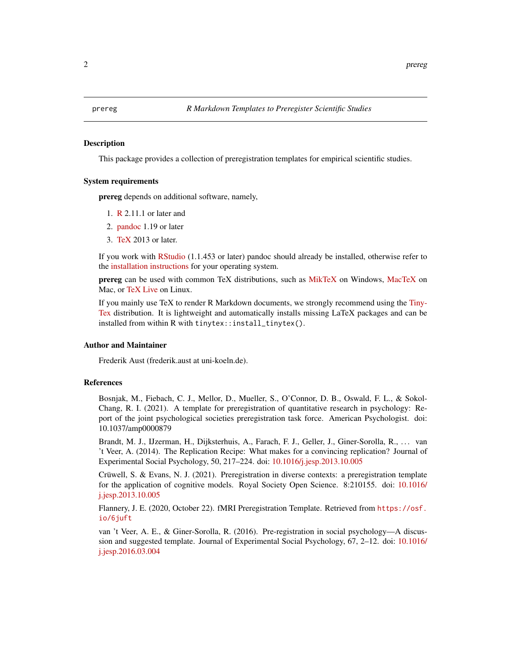<span id="page-1-0"></span>

#### **Description**

This package provides a collection of preregistration templates for empirical scientific studies.

#### System requirements

prereg depends on additional software, namely,

- 1. [R](https://www.R-project.org/) 2.11.1 or later and
- 2. [pandoc](https://pandoc.org/) 1.19 or later
- 3. [TeX](https://en.wikipedia.org/wiki/TeX) 2013 or later.

If you work with [RStudio](https://www.rstudio.com/) (1.1.453 or later) pandoc should already be installed, otherwise refer to the [installation instructions](https://pandoc.org/installing.html) for your operating system.

prereg can be used with common TeX distributions, such as [MikTeX](http://miktex.org/) on Windows, [MacTeX](https://tug.org/mactex/) on Mac, or [TeX Live](http://www.tug.org/texlive/) on Linux.

If you mainly use TeX to render R Markdown documents, we strongly recommend using the [Tiny-](https://yihui.org/tinytex/)[Tex](https://yihui.org/tinytex/) distribution. It is lightweight and automatically installs missing LaTeX packages and can be installed from within R with tinytex::install\_tinytex().

#### Author and Maintainer

Frederik Aust (frederik.aust at uni-koeln.de).

#### References

Bosnjak, M., Fiebach, C. J., Mellor, D., Mueller, S., O'Connor, D. B., Oswald, F. L., & Sokol-Chang, R. I. (2021). A template for preregistration of quantitative research in psychology: Report of the joint psychological societies preregistration task force. American Psychologist. doi: 10.1037/amp0000879

Brandt, M. J., IJzerman, H., Dijksterhuis, A., Farach, F. J., Geller, J., Giner-Sorolla, R., . . . van 't Veer, A. (2014). The Replication Recipe: What makes for a convincing replication? Journal of Experimental Social Psychology, 50, 217–224. doi: [10.1016/j.jesp.2013.10.005](https://doi.org/10.1016/j.jesp.2013.10.005)

Crüwell, S. & Evans, N. J. (2021). Preregistration in diverse contexts: a preregistration template for the application of cognitive models. Royal Society Open Science. 8:210155. doi: [10.1016/](https://doi.org/10.1016/j.jesp.2013.10.005) [j.jesp.2013.10.005](https://doi.org/10.1016/j.jesp.2013.10.005)

Flannery, J. E. (2020, October 22). fMRI Preregistration Template. Retrieved from [https://osf.](https://osf.io/6juft) [io/6juft](https://osf.io/6juft)

van 't Veer, A. E., & Giner-Sorolla, R. (2016). Pre-registration in social psychology—A discussion and suggested template. Journal of Experimental Social Psychology, 67, 2–12. doi: [10.1016/](https://doi.org/10.1016/j.jesp.2016.03.004) [j.jesp.2016.03.004](https://doi.org/10.1016/j.jesp.2016.03.004)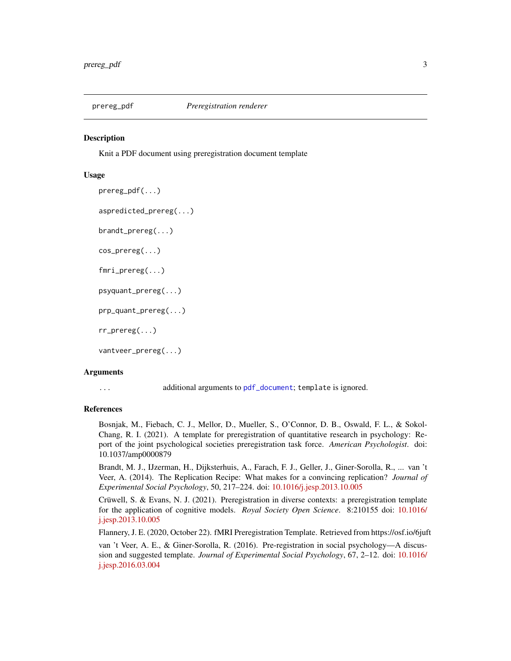<span id="page-2-0"></span>

#### Description

Knit a PDF document using preregistration document template

#### Usage

```
prereg_pdf(...)
aspredicted_prereg(...)
brandt_prereg(...)
cos_prereg(...)
fmri_prereg(...)
psyquant_prereg(...)
prp_quant_prereg(...)
rr_prereg(...)
vantveer_prereg(...)
```
#### Arguments

... additional arguments to [pdf\\_document](#page-0-0); template is ignored.

#### References

Bosnjak, M., Fiebach, C. J., Mellor, D., Mueller, S., O'Connor, D. B., Oswald, F. L., & Sokol-Chang, R. I. (2021). A template for preregistration of quantitative research in psychology: Report of the joint psychological societies preregistration task force. *American Psychologist*. doi: 10.1037/amp0000879

Brandt, M. J., IJzerman, H., Dijksterhuis, A., Farach, F. J., Geller, J., Giner-Sorolla, R., ... van 't Veer, A. (2014). The Replication Recipe: What makes for a convincing replication? *Journal of Experimental Social Psychology*, 50, 217–224. doi: [10.1016/j.jesp.2013.10.005](https://doi.org/10.1016/j.jesp.2013.10.005)

Crüwell, S. & Evans, N. J. (2021). Preregistration in diverse contexts: a preregistration template for the application of cognitive models. *Royal Society Open Science*. 8:210155 doi: [10.1016/](https://doi.org/10.1016/j.jesp.2013.10.005) [j.jesp.2013.10.005](https://doi.org/10.1016/j.jesp.2013.10.005)

Flannery, J. E. (2020, October 22). fMRI Preregistration Template. Retrieved from https://osf.io/6juft

van 't Veer, A. E., & Giner-Sorolla, R. (2016). Pre-registration in social psychology—A discussion and suggested template. *Journal of Experimental Social Psychology*, 67, 2–12. doi: [10.1016/](https://doi.org/10.1016/j.jesp.2016.03.004) [j.jesp.2016.03.004](https://doi.org/10.1016/j.jesp.2016.03.004)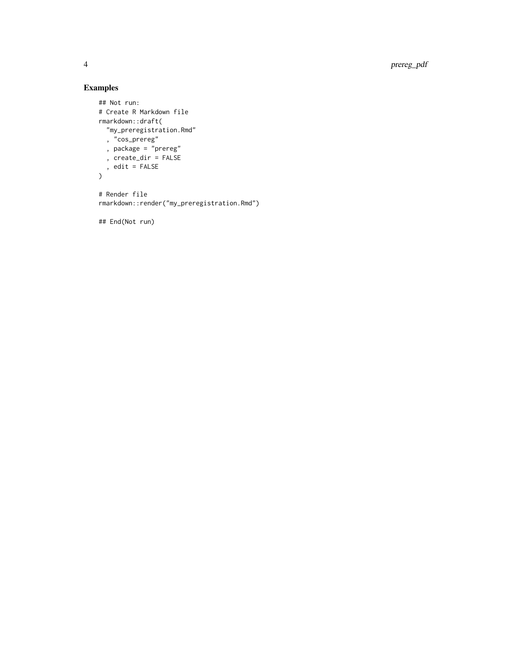4 prereg\_pdf

### Examples

```
## Not run:
# Create R Markdown file
rmarkdown::draft(
 "my_preregistration.Rmd"
 , "cos_prereg"
 , package = "prereg"
 , create_dir = FALSE
 , edit = FALSE
\overline{)}# Render file
```
rmarkdown::render("my\_preregistration.Rmd")

## End(Not run)